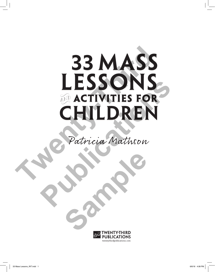# **THESSONS**<br> **THESSONS**<br> **CHILDREN**<br>
Patricia Mathson **PROVISIONS**<br> **PACTIVITIES FOR**<br> **CHILDREN**<br>
Patricia Mathson



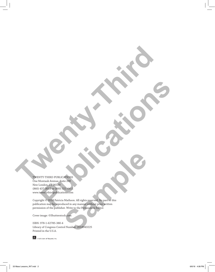TWENTY-THIRD PUBLICATIONS One Montauk Avenue, Suite 200 New London, CT 06320 (860) 437-3012 or (800) 321-0411 www.twentythirdpublications.com **The Millian Riversity of Case of the Case of Case of Case of The Case of Case of Case of Case of Case of Case of Case of Case of Case of Case of Case of Case of Case of Case of Case of Case of Case of Case of Case of Case** 

Copyright © 2018 Patricia Mathson. All rights reserved. No part of this publication may be reproduced in any manner without prior written permission of the publisher. Write to the Permissions Editor. **Publication 2016**<br> **PUBLICATION**<br> **PUBLICATION**<br> **PUBLICATION**<br> **PUBLICATION**<br> **PUBLICATION**<br> **PUBLICATION** Experiment<br>
Samples (SPI)<br>
Samples of the SPI)<br>
Samples of the SPI of this<br>
iduced in any manner without prior written<br>
Figures (SPI)<br>
Figures (SPI)<br>
Samples (SPI)<br>
Samples (SPI)<br>
Samples (SPI)<br>
Samples (SPI)<br>
Samples (SPI

Cover image: ©Shutterstock.com

ISBN: 978-1-62785-380-4 Library of Congress Control Number: 2018943225 Printed in the U.S.A.



**Soyard** A division of Bayard, Inc.

 $^+$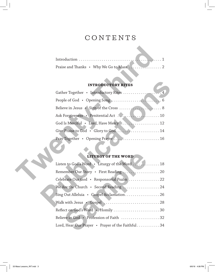### **CONTENTS**

#### **INTRODUCTORY RITES**

| <b>INTRODUCTORY RITES</b>                 |
|-------------------------------------------|
| Gather Together • Introductory Rites      |
|                                           |
|                                           |
| Ask Forgiveness • Penitential Act 10      |
| God Is Merciful • Lord, Have Mercy  12    |
| Give Praise to God · Glory to God14       |
| Pray Together • Opening Prayer  16        |
|                                           |
| <b>LITURGY OF THE WORD</b>                |
|                                           |
|                                           |
| Celebrate Our God · Responsorial Psalm 22 |
| We Are the Church • Second Reading 24     |
| Sing Out Alleluia · Gospel Acclamation26  |
|                                           |

#### **LITURGY OF THE WORD**

| <b>LITURGY OF THE WORD</b>                       |
|--------------------------------------------------|
| Listen to God's Word . Liturgy of the Word  18   |
| Remember Our Story · First Reading 20            |
| Celebrate Our God · Responsorial Psalm  22       |
| We Are the Church · Second Reading 24            |
| Sing Out Alleluia • Gospel Acclamation26         |
|                                                  |
| Reflect on God's Word • Homily 30                |
| Believe in God • Profession of Faith 32          |
| Lord, Hear Our Prayer • Prayer of the Faithful34 |
|                                                  |

Ч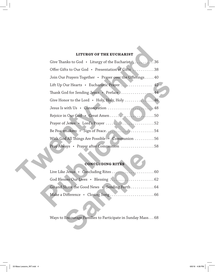#### **LITURGY OF THE EUCHARIST**

| <b>LITURGY OF THE EUCHARIST</b>                          |  |
|----------------------------------------------------------|--|
| Give Thanks to God • Liturgy of the Eucharist 36         |  |
| Offer Gifts to Our God · Presentation of Gifts 38        |  |
| Join Our Prayers Together • Prayer over the Offerings 40 |  |
| Lift Up Our Hearts · Eucharistic Prayer  42              |  |
| Thank God for Sending Jesus • Preface  44                |  |
| Give Honor to the Lord • Holy, Holy, Holy 46             |  |
| Jesus Is with Us • Consecration  48                      |  |
|                                                          |  |
| Prayer of Jesus • Lord's Prayer 52                       |  |
| Be Peacemakers • Sign of Peace54                         |  |
| With God All Things Are Possible Communion 56            |  |
| Pray Always • Prayer after Communion 58                  |  |
|                                                          |  |
| <b>CONCLUDING RITES</b>                                  |  |
|                                                          |  |
|                                                          |  |
|                                                          |  |
| Go and Share the Good News . Sending Forth  64           |  |
|                                                          |  |
|                                                          |  |
|                                                          |  |

### **CONCLUDING RITES**

| <b>CONCLUDING RITES</b>                                     |
|-------------------------------------------------------------|
|                                                             |
|                                                             |
| Go and Share the Good News • Sending Forth  64              |
|                                                             |
|                                                             |
| Ways to Encourage Families to Participate in Sunday Mass 68 |

 $\mathbb{F}$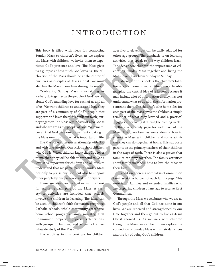#### introduction

This book is filled with ideas for connecting Sunday Mass to children's lives. As we explore the Mass with children, we invite them to experience God's presence and love. The Mass gives us a glimpse at how much God loves us. The celebration of the Mass should be at the center of our lives as disciples of Jesus Christ. We must also live the Mass in our lives during the week.

Celebrating Sunday Mass is something we joyfully do together as the people of God. We celebrate God's unending love for each of us and all of us. We want children to understand how they are part of a community of God's people that supports and loves them. We walk our faith journey together. The Mass reminds us of who God is and who we are as the people of God. We remember all that God has done for us. Participating in the Mass reminds us of what is important in life. This book is filled with ideas for connecting ages free to eleven but can be ease<br>Sunday Mass to children's lives. As we explore other age groups, The emphasis<br>the Mass with children, we invite them to expect activities t Figure 11 and the Mass in our lives and sixting the seak of this book is the children's table by the Mass in our lives during the week Mass (Celebrating Sunday Mass is something we grassping the central idea of a lesson, B

The Mass celebrates our relationship with God and with one another. Our actions show children who God is. When children know that God loves them, then they will be able to respond to God's love. It is important for children and all of us to understand that we participate in Sunday Mass not only to praise our God, but also to support other people by our presence and our prayers.

There are ideas and activities in this book for exploring each part of the Mass. A variety of activities are included that actively involve the children in learning. The ideas can be used in children's faith formation programs, Catholic schools, whole community catechesis, home school programs, family ministry, First Communion preparation, parish celebrations, with groups of families, and as part of a parish-wide study of the Mass. Final School and all of us to the ways of faith. The use of the tores of the total of the total of the total of the total of the separation of the separation of the separation of the Mass. A variant presence and our prayer

The activities in this book are for children

ages five to eleven but can be easily adapted for other age groups. The emphasis is on learning activities that speak to the way children learn. The ideas show children the importance of celebrating Sunday Mass together and living the Mass in our lives from Sunday to Sunday.

A strength of this book is the children's takehome idea. Sometimes, children have trouble grasping the central idea of a lesson, because it may include a lot of information or they may not understand what to do with the information presented to them. The children's take-home idea for each part of the Mass gives the children a simple reminder of what they learned and a practical suggestion for living it during the coming week.

There is a family page for each part of the Mass. This gives families some ideas of how to share the Mass with children and some activities they can do together at home. This supports parents as the primary teachers of their children in the ways of faith. There is also a prayer that families can pray together. The family activities show family members how to live the Mass in their lives.

In addition, there is a note to First Communion families at the bottom of each family page. This note is for families and extended families who are preparing children of any age to receive First Communion.

Through the Mass we celebrate who we are as God's people and all that God has done in our lives. We are renewed and strengthened by our time together and then go out to live as Jesus Christ showed us. As we walk with children though the Mass, we can help them explore the connection of Sunday Mass with their daily lives and the joy of being God's children.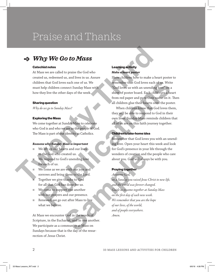# Praise and Thanks

#### *Why We Go to Mass*

#### Catechist notes

At Mass we are called to praise the God who created us, redeemed us, and lives in us. Assure children that God loves each one of us. We must help children connect Sunday Mass with how they live the other days of the week. **The UK is the Control of the UK is the Control of the UK is a series that the control of the UK is a series to the UK is a series to the UK is a series to the UK is a series to the UK is a series to the UK is a series to** 

#### Sharing question

*Why do we go to Sunday Mass?*

#### Exploring the Mass

We come together at Sunday Mass to celebrate who God is and who we are as the people of God. The Mass is part of our identity as Catholics.

#### *Reasons why Sunday Mass is important*

- We lift up our hearts and our lives to the God who created us.
- We respond to God's unending love for each of us.
- We come as we are with our joys and sorrows and bring them to the Lord.
- Together we give thanks to God for all that God has done for us.
- We come to support one another with our prayers and our presence.
- Renewed, we go out after Mass to live what we believe.

At Mass we encounter God in the words of Scripture, in the Eucharist, and in one another. We participate as a community at Mass on Sundays because that is the day of the resurrection of Jesus Christ.

#### Learning activity *Make a heart poster*

Show children how to make a heart poster to remember that God loves each of us. Write "God loves us with an unending love" on a sheet of poster board. Each child cuts a heart from red paper and puts their name on it. Then all children glue their hearts onto the poster.

When children know that God loves them, they will be able to respond to God in their own lives. Sunday Mass reminds children that all of us are on this faith journey together.

#### Children's take-home idea

Remember that God loves you with an unending love. Open your heart this week and look for God's presence in your life through the wonders of creation and the people who care about you. God will always be with you.

#### Praying together

*Awesome God, on a Sunday you raised Jesus Christ to new life, and the world was forever changed. Guide us to come together at Sunday Mass on the first day of each new week. We remember that you are the hope of our lives, of the world, and of people everywhere. Amen.* From that God loves each one of us. We<br> **Publication connect** Sunday Mass with the phildren connect Sunday Mass with<br> **Publication** since the since of the week since the since of the week since of the week since of the sin Fraction and the solution of the same of the same of the data of the same solution of the same solution of the same solution of the same solution of the same solution of the same solution of the same solution of the same s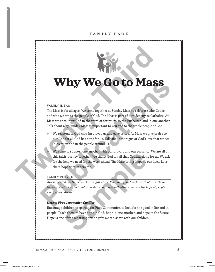# **Why We Go to Mass**

#### FAMILY IDEAS

The Mass is for all ages. We come together at Sunday Mass to celebrate who God is and who we are as the people of God. The Mass is part of our identity as Catholics. At Mass we encounter God in the word of Scripture, in the Eucharist, and in one another. Talk about why Sunday Mass is important to you and to the whole people of God. **THE MILY IDEAS**<br>
THE MASS IS for all ages. We come together at Sunday Mass to celebrate who Good and who we are as the free point of God. The Mass is part of God. The Mass is part of God. The Mass is the property of God. **PAMILY IDEAS**<br>
FAMILY IDEAS<br>
The Mass is for all ages. We come together at Sunday Mass for celebrate who God is<br>
and who we are as the people of God. The Mass is part of our identity as Catholics. At<br>
Mass we encounter Go

We respond to God who first loved us and gave us life. At Mass we give praise to our God for all God has done for us. Talk about the signs of God's love that we see in creation and in the people around us.

We come to support one another with our prayers and our presence. We are all on this faith journey together. We thank God for all that God has done for us. We ask for the help we need for the week ahead. The Mass brings hope to our lives. Let's share hope with others too. For a support one another with our prayers and our present<br>th journey together. We thank God for all that God has done<br>help we need for the week ahead. The Mass brings hope to cope with others too.<br>RAYER<br>od, we thank you f

#### FAMILY PRAYER

*Awesome God, we thank you for the gift of the Mass and your love for each of us. Help us to live in that love as a family and share your love with others. You are the hope of people everywhere. Amen.*

#### *Note to First Communion families*

Encourage children preparing for First Communion to look for the good in life and in people. Teach them to have hope in God, hope in one another, and hope in the future. Hope is one of the most important gifts we can share with our children.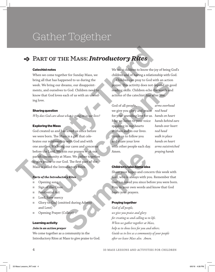# Gather Together

#### Part of the Mass: *Introductory Rites*

#### Catechist notes

When we come together for Sunday Mass, we bring all that has happened to us during the week. We bring our dreams, our disappointments, and ourselves to God. Children need to know that God loves each of us with an unending love.

#### Sharing question

*Why does God care about what is going on in our lives?*

#### Exploring the Mass

God created us and has loved us since before we were born. The Mass is a gift that celebrates our relationship with God and with one another. We bring our cares and concerns before the Lord. We join our prayers with our parish community at Mass. We gather together to give praise to our God. The first part of the Mass is called the Introductory Rites. **• DART OF THE MASS:** *Introductory* **RiteS<br>
catechistnotes**<br>
We want children and of having a relationshi<br>
bring all that has happened to us during the<br>
we know the joy design and the set with comparison of the set with a The trans and paperato to a suring the **Publication**<br>
And that Solend on equality to a suring the trans and ourselves to God. Children need to reading skills. Children enco the words and<br>
year, We bring our decays to God.

#### *Parts of the Introductory Rites*

- Opening song
- Sign of the Cross
- Penitential Act
- Lord, have mercy
- Glory to God (omitted during Advent and Lent)
- Opening Prayer (Collect)

#### Learning activity

#### *Join in an action prayer*

We come together as a community in the Introductory Rites at Mass to give praise to God. We want children to know the joy of being God's children and of having a relationship with God. Children can pray to God with an action prayer. This activity does not depend on good reading skills. Children echo the words and actions of the catechist line after line.

God of all people, *arms overhead* we give you glory and praise *nod head* for your unending love for us. *hands on heart* May we listen to your voice *hands behind ears* speaking in our hearts *hands over heart* at Mass and in our lives. *nod head* Guide us to follow you *walk in place* and share your love *hands on heart* with other people each day. *arms outstretched* Amen. *praying hands*

#### Children's take-home idea

Share your hopes and concern this week with God, who is always with you. Remember that God has loved you since before you were born. Pray in your own words and know that God hears your prayers.

#### Praying together

*God of all people, we give you praise and glory for creating us and calling us to life. When we gather together at Mass, help us to show love for you and others. Guide us to live as a community of your people after we leave Mass also. Amen.* Mass. We gather together<br>
Sod. The first part of the<br>
roductory Rites<br>
Share your hopes and consider<br>
Share your hopes and consider<br>
Share your hopes and consider<br>
Share your hopes and consider<br>
Share your hopes and consid

#### 4 33 MASS LESSONS AND ACTIVITIES FOR CHILDREN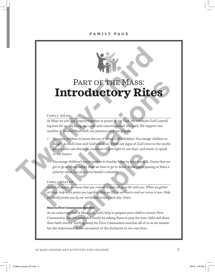# PART OF THE MASS: **Introductory Rites PART OF THE MASS:**<br> **Twick Control of The MASS:**<br>
At Mass we join our prayers together in praise of our God. We eelebrate God's use<br>
At Mass we join our prayers together in praise of our God. We eelebrate God's use<br>
ing l

#### **FAMILY IDEAS**

At Mass we join our prayers together in praise of our God. We celebrate God's unending love for us. We bring our cares and concerns before the Lord. We support one another at Sunday Mass with our presence and our prayers.

We want children to know the joy of being God's children. Encourage children to delight in God's love and God's creation. Point out signs of God's love in the world: people who care about us, sunshine to give light to our days, and music to speak to our hearts. **PART OF THE MASS:**<br>
FAMILY IDEAS<br>
At Mass we join our prayers together in praise of our God. We celebrate God's unend-<br>
ing love for us. We bring our cares and concerns before the Lord. We support one<br>
another at Sanday M

▶ Encourage children's participation in Sunday Mass by how you talk. Stress that we *get to* go to Mass, rather than we *have to* go to Mass. Make participating in Mass a priority when you plan your family's schedule.

#### FAMILY PRAYER

God of all people, we know that you created us and call us to life with you. When we gather *at Mass, help us to praise you together. May we lift up our hearts and our voices to you. Help our family praise you by our words and actions each day. Amen.* 

#### *Note to First Communion families*

As we come together at Mass, ask God's help to prepare your child to receive First Communion. Involve extended family by asking them to pray for your child and share their faith stories. Getting ready for First Communion enriches all of us as we remember the importance of the sacrament of the Eucharist in our own lives. hearts.<br>
age children's participation in Sunday Mass by how you talk<br>
o to Mass, rather than we *have to* go to Mass. Make particip,<br>
y when you plan your family's schedule.<br>
RAYER<br>
eople, we know that you created us and c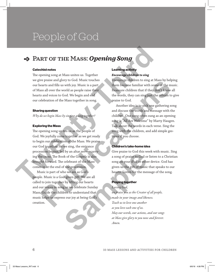# People of God

#### $\rightarrow$  PART OF THE MASS: Opening Song

#### Catechist notes

The opening song at Mass unites us. Together we give praise and glory to God. Music touches our hearts and fills us with joy. Music is a part of Mass all over the world as people raise their hearts and voices to God. We begin and end our celebration of the Mass together in song.

#### Sharing question

*Why do we begin Mass by singing a song together?*

#### Exploring the Mass

The opening song unites us as the people of God. We joyfully come together as we get ready to begin our celebration of the Mass. We praise our God together. As we sing, the entrance procession begins, led by an altar server carrying the cross. The Book of the Gospels is also brought forward. The celebrant of the Mass comes in at the end of the procession. **Example 18 Consider the Solution of the Solution of the Solution of the Solution of the Solution of the Solution of the Solution of the Solution of the Solution of the Solution of the Solution of the Solution of the Solut** Figures and giory to solic, whilst coute the space of the measure and fills us with by. Music is a part<br>
earlier the words, they can simulate with some of the music.<br>
nearlier the words, they can singlust the tefrain to gi

Music is part of who we are as God's people. Music is a God-given gift. We are all called to join together by lifting our hearts and our voices in song as we celebrate Sunday Mass. Guide the children to understand that music helps us express our joy at being God's creation.

#### Learning activity *Encourage children to sing*

Encourage children to sing at Mass by helping them become familiar with some of the music. Reassure children that if they don't know all the words, they can sing just the refrain to give praise to God.

Another idea is to pick one gathering song and discuss the words and message with the children. One song often sung as an opening song is "All Are Welcome" by Marty Haugen. Talk about the words in each verse. Sing the song with the children, and add simple gestures if you choose.

#### Children's take-home idea

Give praise to God this week with music. Sing a song of praise to God or listen to a Christian song on your iPad or other device. God has given us the gift of music that speaks to our hearts. Listen for the message of the song.

#### Praying together

*Loving God, we praise you as the Creator of all people, made in your image and likeness. Teach us to love one another as you love each one of us. May our words, our actions, and our songs at Mass give glory to you now and forever. Amen.* Show the Gospels is also a song of praise to God this with the procession.<br>
Show the Gospels is also a song of praise to God or song of praise to God or song of praise to God or song on your iPad or other fithe procession.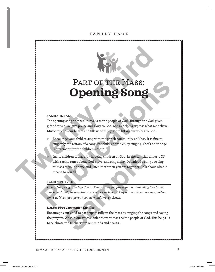## PART OF THE MASS: **Opening Song**

#### **FAMILY IDEAS**

The opening song at Mass unites us as the people of God. Through the God-given gift of music, we give praise and glory to God. Songs help us express what we believe. Music touches our hearts and fills us with joy as we lift up our voices to God.

▶ Encourage your child to sing with the parish community at Mass. It is fine to sing only the refrain of a song. For children who enjoy singing, check on the age requirement for the children's choir.

Invite children to have joy in being children of God. In the car, play a music CD with catchy tunes about God's love, and sing along. Download a song you sing at Mass to your phone and listen to it when you are together. Talk about what it means to you all. **PART OF THE MASS:**<br> **The opening song at Mass unites us as the people of God. Through the God-give<br>
The opening song at Mass unites us as the people of God. Through the God-give<br>
gift of music, we give phase and glory to PART OF THE MASS:**<br> **PUBLICATE SECTIONS SUBLICATES**<br>
The opening song at Mass unites us as the people of God. Through the God-given<br>
gift of music, we give praise and glory to God. Songs help us express what we believe.<br> children to have joy in being children of God. In the car, play<br>tchy tunes about God's love, and sing along. Download a so<br>s to your phone and listen to it when you are together. Talk<br>to you all.<br> $\frac{34 \times F}{25}$ <br>we gather t

#### FAMILY PRAYER

*Loving God, we gather together at Mass to give you praise for your unending love for us. Teach our family to love others as you love each of us. May our words, our actions, and our songs at Mass give glory to you now and forever. Amen.*

#### *Note to First Communion families*

Encourage your child to participate fully in the Mass by singing the songs and saying the prayers. We join our voices with others at Mass as the people of God. This helps us to celebrate the Eucharist in our minds and hearts.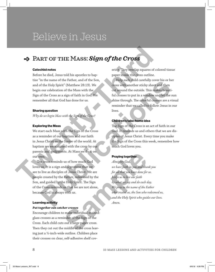# Believe in Jesus

#### Part of the Mass: *Sign of the Cross*

#### Catechist notes

Before he died, Jesus told his apostles to baptize "in the name of the Father, and of the Son, and of the Holy Spirit" (Matthew 28:19). We begin our celebration of the Mass with the Sign of the Cross as a sign of faith in God. We remember all that God has done for us.

#### Sharing question

*Why do we begin Mass with the Sign of the Cross?*

#### Exploring the Mass

We start each Mass with the Sign of the Cross as a reminder of our baptism and our faith in Jesus Christ as the Savior of the world. At baptism we were signed with the cross by our parents and godparents. At Mass we do it on our own. **Example 18 and 18 and 18 and 18 and 18 and 18 and 18 and 18 and 18 and 18 and 18 and 18 and 18 and 18 and 18 and 18 and 18 and 18 and 18 and 18 and 18 and 18 and 18 and 18 and 18 and 18 and 18 and 18 and 18 and 18 and 18** 

The cross reminds us of how much God loves us. It is a sign and a promise that we are to live as disciples of Jesus Christ. We are people created by the Father, redeemed by the Son, and guided by the Holy Spirit. The Sign of the Cross reminds us that we are not alone, because God is always with us.

#### Learning activity

#### *Put together sun catcher crosses*

Encourage children to make individual stainedglass crosses as a reminder of the Sign of the Cross. Each child cuts out a large paper cross. Then they cut out the middle of the cross leaving just a ½-inch-wide outline. Children place their crosses on clear, self-adhesive shelf cov-

ering. They overlap squares of colored tissue paper inside the cross outline.

Help each child carefully cover his or her cross with another sticky sheet and then cut around the outside. This makes beautiful crosses to put in a window and let the sun shine through. The colorful crosses are a visual reminder that we called to follow Jesus in our lives.

#### Children's take-home idea

The Sign of the Cross is an act of faith in our God. It reminds us and others that we are disciples of Jesus Christ. Every time you make the Sign of the Cross this week, remember how much God loves you.

#### Praying together

*Almighty God, we have faith in you and thank you for all that you have done for us. Helps us to live our faith by what we say and do each day. We pray in the name of the Father who created us, the Son who redeemed us, and the Holy Spirit who guides our lives. Amen.* In the name of the change of the Cross results and of the Holy Spirit" (Matthew 26:19). We respect on the cut account the cut account of the Cross as a sign of faith in God. We can be all that God has done for us.<br> **Public Example 18 Almighty God,**<br>
Its. At Mass we do it on<br>
and a promise that we<br>
so f Jesus Christ. We are<br>
so f Jesus Christ. We are<br>
for all that you have done for<br>
Father, redeemed by the<br>
Helps us to live our faith<br>
ne Hol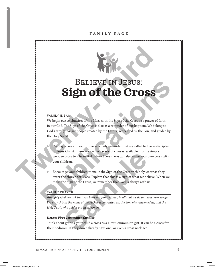# Believe in Jesus: **Sign of the Cross The Cross State of the Cross State of the Cross and prayer of the Cross and proper of the Cross and proper of the Cross and proper of the Cross and proper of the Cross and proper of the Cross and proper of the Cross and p**

#### FAMILY IDEAS

We begin our celebration of the Mass with the Sign of the Cross as a prayer of faith in our God. The Sign of the Cross is also as a reminder of our baptism. We belong to God's family. We are people created by the Father, redeemed by the Son, and guided by the Holy Spirit. **PEANLY DEAS**<br> **PEANLY DEAS**<br> **PUBLICATIONS**<br> **PUBLICATIONS**<br> **PUBLICATIONS**<br> **PUBLICATIONS**<br> **PUBLICATIONS**<br> **PUBLICATIONS**<br> **PUBLICATIONS**<br> **PUBLICATIONS**<br> **PUBLICATIONS**<br> **PUBLICATIONS**<br> **PUBLICATIONS**<br> **PUBLICATIONS**<br>

- Display a cross in your home as a daily reminder that we called to live as disciples of Jesus Christ. There are a wide variety of crosses available, from a simple wooden cross to a beautiful painted cross. You can also make your own cross with your children.
- Encourage your children to make the Sign of the Cross with holy water as they enter the church for Mass. Explain that this is a sign of what we believe. When we make the Sign of the Cross, we remember that God is always with us.

#### FAMILY PRAYER

*Almighty God, we ask that you bless our family today in all that we do and wherever we go. We pray this in the name of the Father who created us, the Son who redeemed us, and the Holy Spirit who guides our lives. Amen.* **Sample 19 and 20 and 20 and 20 and 20 and 30 and 30 and 30 and 30 and 30 and 30 and 30 and 30 and 30 and 30 and 30 and 30 and 30 and 30 and 30 and 30 and 30 and 30 and 30 and 40 and 30 and 40 and 31 and 31 and 31 and 31 a** 

#### *Note to First Communion families*

Think about getting your child a cross as a First Communion gift. It can be a cross for their bedroom, if they don't already have one, or even a cross necklace.